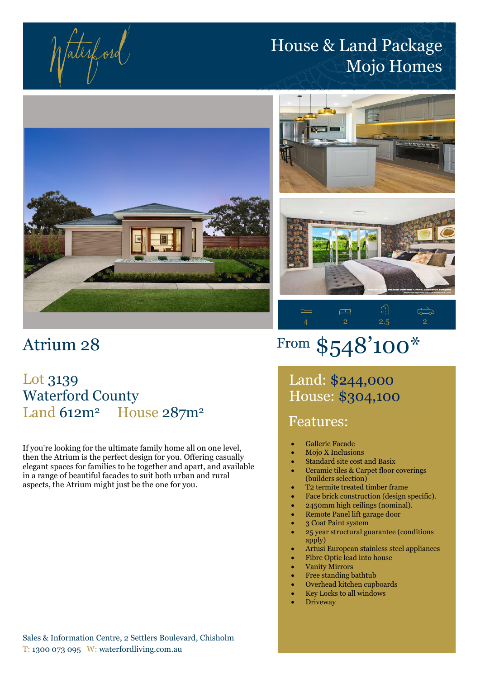fatesford

# House & Land Package Mojo Homes



# Atrium 28

## Lot 3139 Waterford County Land 612m<sup>2</sup> House 287m<sup>2</sup>

If you're looking for the ultimate family home all on one level, then the Atrium is the perfect design for you. Offering casually elegant spaces for families to be together and apart, and available in a range of beautiful facades to suit both urban and rural aspects, the Atrium might just be the one for you.





4 2 2.5 2

 $\overrightarrow{C}$ 

# From \$548'100\*

 $\Box$ 

Land: \$244,000 House: \$304,100

## Features:

 $\models$ 

- Gallerie Facade
- Mojo X Inclusions
- Standard site cost and Basix
- Ceramic tiles & Carpet floor coverings (builders selection)
- T2 termite treated timber frame
- Face brick construction (design specific).
- 2450mm high ceilings (nominal).
- Remote Panel lift garage door
- 3 Coat Paint system
- 25 year structural guarantee (conditions apply)
- Artusi European stainless steel appliances
- Fibre Optic lead into house
- Vanity Mirrors
- Free standing bathtub
- Overhead kitchen cupboards
- Key Locks to all windows
- **Driveway**